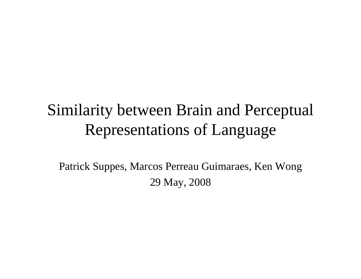# Similarity between Brain and Perceptual Representations of Language

Patrick Suppes, Marcos Perreau Guimaraes, Ken Wong 29 May, 2008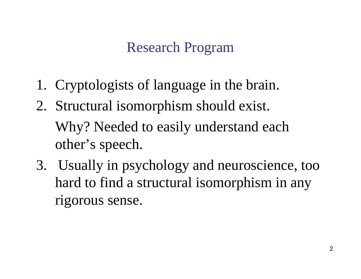# Research Program

- 1. Cryptologists of language in the brain.
- 2. Structural isomorphism should exist. Why? Needed to easily understand each other's speech.
- 3. Usually in psychology and neuroscience, too hard to find a structural isomorphism in any rigorous sense.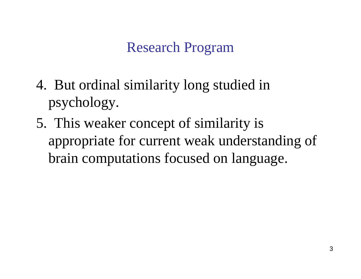### Research Program

- 4. But ordinal similarity long studied in psychology.
- 5. This weaker concept of similarity is appropriate for current weak understanding of brain computations focused on language.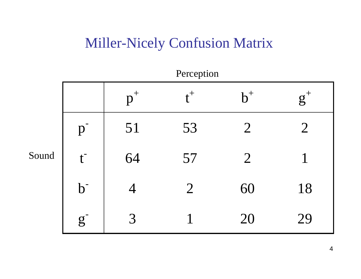### Miller-Nicely Confusion Matrix

|       |              |       | Perception     |                |       |
|-------|--------------|-------|----------------|----------------|-------|
|       |              | $p^+$ | $t^+$          | $b^+$          | $g^+$ |
|       | $\mathbf{p}$ | 51    | 53             | $\overline{2}$ | $2\,$ |
| Sound | $t^{-}$      | 64    | 57             | $\overline{2}$ |       |
|       | $b^{\cdot}$  |       | $\overline{2}$ | 60             | 18    |
|       | $\mathbf{g}$ | 3     |                | 20             | 29    |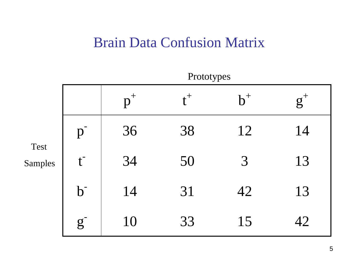#### Brain Data Confusion Matrix

|                 | 1 TOWY PCS     |       |       |       |       |
|-----------------|----------------|-------|-------|-------|-------|
|                 |                | $p^+$ | $t^+$ | $b^+$ | $g^+$ |
| Test<br>Samples | $\mathbf{p}$   | 36    | 38    | 12    | 14    |
|                 | t <sub>l</sub> | 34    | 50    | 3     | 13    |
|                 | b <sub>1</sub> | 14    | 31    | 42    | 13    |
|                 | $\overline{g}$ | 10    | 33    | 15    | 42    |

**Drototypes**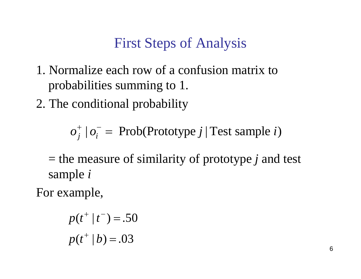# First Steps of Analysis

- 1. Normalize each row of a confusion matrix to probabilities summing to 1.
- 2. The conditional probability

 $o_j^+ \mid o_i^-$  = Prob(Prototype *j* | Test sample *i*) =

= the measure of similarity of prototype *j* and test sample *i*

For example,

$$
p(t^+ | t^-) = .50
$$
  

$$
p(t^+ | b) = .03
$$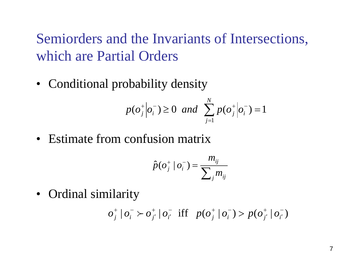Semiorders and the Invariants of Intersections, which are Partial Orders

• Conditional probability density

$$
p(o_j^+|o_i^-) \ge 0
$$
 and  $\sum_{j=1}^N p(o_j^+|o_i^-) = 1$ 

• Estimate from confusion matrix

$$
\hat{p}(o_j^+ \mid o_i^-) = \frac{m_{ij}}{\sum_j m_{ij}}
$$

• Ordinal similarity

 $| o_i^- \rangle o_{i'}^+ | o_{i'}^-$  iff  $p(o_i^+ | o_i^-) > p(o_{i'}^+ | o_{i'}^-)$  $^+_j$  $\frac{1}{r'}$  iff  $p(o_i^+ | o_i^-)$ + ′  $o_j^+ \, | o_i^- \succ o_{j'}^+ \, | o_{i'}^- \text{ iff } p(o_j^+ \, | o_i^-) \gt p(o_{j'}^+ \, | o_i^-)$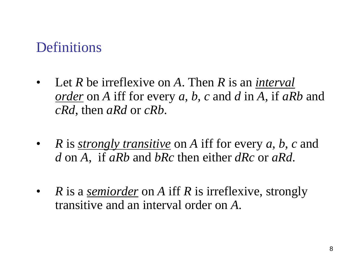### **Definitions**

- $\bullet$  Let *R* be irreflexive on *A*. Then *R* is an *interval order* on *A* iff for every *<sup>a</sup>*, *b*, *<sup>c</sup>* and *d* in *A*, if *aRb* and *cRd*, then *aRd* or *cRb*.
- $\bullet$  *R* is *strongly transitive* on *A* iff for every *<sup>a</sup>*, *b*, *<sup>c</sup>* and *d* on *A*, if *aRb* and *bRc* then either *dRc* or *aRd*.
- • *R* is a *semiorder* on *A* iff *R* is irreflexive, strongly transitive and an interval order on *A*.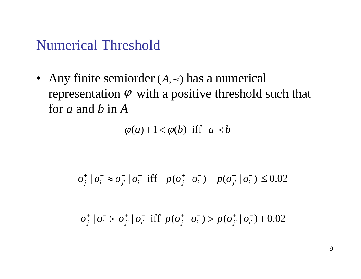### Numerical Threshold

• Any finite semiorder  $(A, \prec)$  has a numerical representation  $\varphi$  with a positive threshold such that for *a* and *b* in *A*

 $\varphi(a)+1 < \varphi(b)$  iff  $a \prec b$ 

$$
o_j^+ \mid o_i^- \approx o_{j'}^+ \mid o_{i'}^- \text{ iff } \left| p(o_j^+ \mid o_i^-) - p(o_{j'}^+ \mid o_{i'}^-) \right| \le 0.02
$$

 $| o_i^- \rangle o_{i'}^+ | o_{i'}^-$  iff  $p(o_i^+ | o_i^-) > p(o_{i'}^+ | o_{i'}^-) + 0.02$ —<br>;′ + ′  $\frac{1}{i'}$  iff  $p(o_j^+ | o_i^-)$ + ′  $o_j^+ \, | o_i^- \succ o_{j'}^+ \, | o_{i'}^- \text{ iff } p(o_j^+ \, | o_i^-) > p(o_{j'}^+ \, | o_{i'}^-)$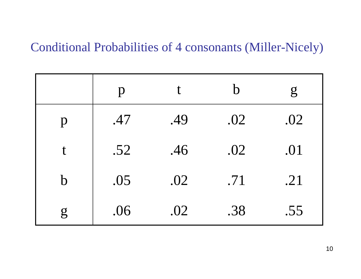#### Conditional Probabilities of 4 consonants (Miller-Nicely)

|              | $\mathbf{p}$ |     | $\mathsf b$ | ${\rm g}$ |
|--------------|--------------|-----|-------------|-----------|
| $\mathbf{p}$ | .47          | .49 | .02         | .02       |
|              | .52          | .46 | .02         | .01       |
| $\mathbf b$  | .05          | .02 | .71         | .21       |
| $\mathbf{g}$ | .06          | .02 | .38         | .55       |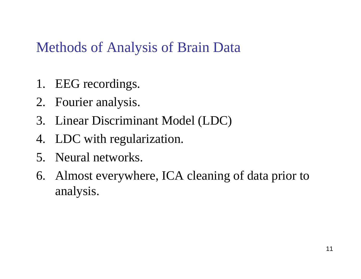# Methods of Analysis of Brain Data

- 1. EEG recordings.
- 2. Fourier analysis.
- 3. Linear Discriminant Model (LDC)
- 4. LDC with regularization.
- 5. Neural networks.
- 6. Almost everywhere, ICA cleaning of data prior to analysis.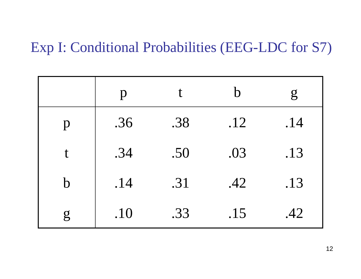### Exp I: Conditional Probabilities (EEG-LDC for S7)

|              | p   |     | $\mathbf b$ | $\overline{g}$ |
|--------------|-----|-----|-------------|----------------|
| p            | .36 | .38 | .12         | .14            |
| $\mathbf t$  | .34 | .50 | .03         | .13            |
| $\mathbf b$  | .14 | .31 | .42         | .13            |
| $\mathbf{g}$ | .10 | .33 | .15         | .42            |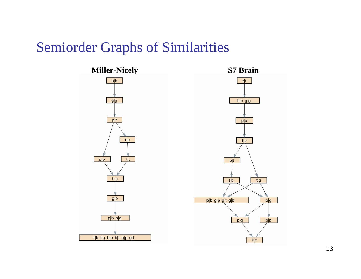### Semiorder Graphs of Similarities

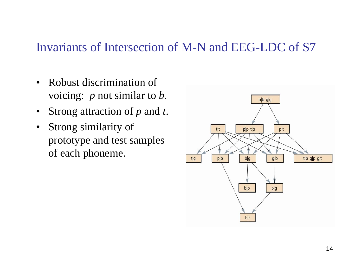#### Invariants of Intersection of M-N and EEG-LDC of S7

- $\bullet$  Robust discrimination of voicing: *p* not similar to *b*.
- •Strong attraction of *p* and *t*.
- $\bullet$  Strong similarity of prototype and test samples of each phoneme.

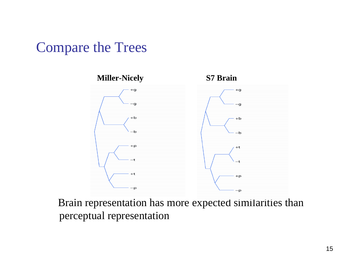### Compare the Trees



Brain representation has more expected similarities than perceptual representation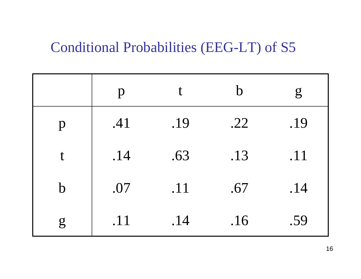### Conditional Probabilities (EEG-LT) of S5

|              | $\mathbf{p}$ | t   | $\mathbf b$ | $\mathbf{g}$ |
|--------------|--------------|-----|-------------|--------------|
| $\mathbf{p}$ | .41          | .19 | .22         | .19          |
| t            | .14          | .63 | .13         | .11          |
| $\mathbf b$  | .07          | .11 | .67         | .14          |
| $\mathbf{g}$ | .11          | .14 | .16         | .59          |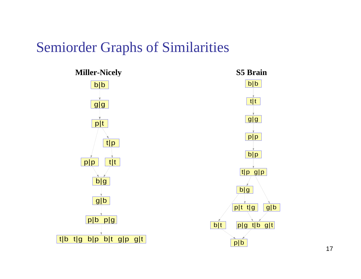#### Semiorder Graphs of Similarities



17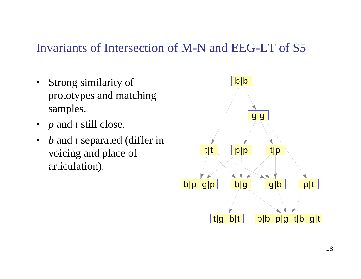#### Invariants of Intersection of M-N and EEG-LT of S5

- $\bullet$  Strong similarity of prototypes and matching samples.
- *p* and *t* still close.
- •*b* and *t* separated (differ in voicing and place of articulation).

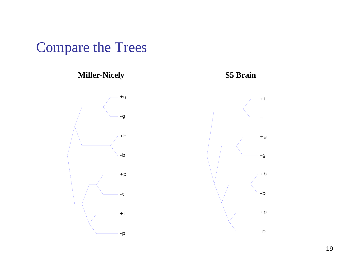Compare the Trees

**Miller-Nicely S5 Brain**



19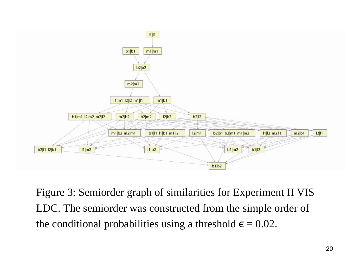

Figure 3: Semiorder graph of similarities for Experiment II VIS LDC. The semiorder was constructed from the simple order of the conditional probabilities using a threshold  $\boldsymbol{\epsilon} = 0.02$ .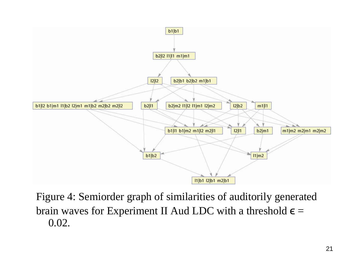

Figure 4: Semiorder graph of similarities of auditorily generated brain waves for Experiment II Aud LDC with a threshold  $\epsilon =$ 0.02.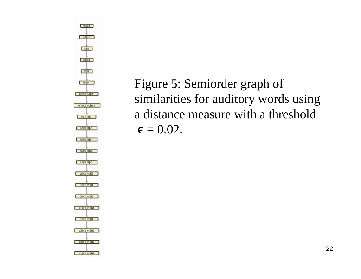

Figure 5: Semiorder graph of similarities for auditory words using a distance measure with a threshold  $\boldsymbol{\epsilon} = 0.02.$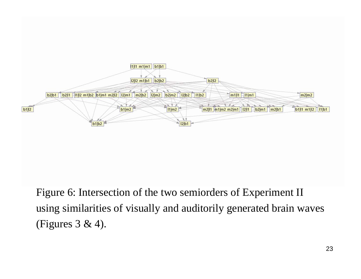

Figure 6: Intersection of the two semiorders of Experiment II using similarities of visually and auditorily generated brain waves (Figures 3 & 4).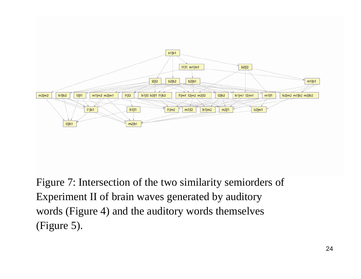

Figure 7: Intersection of the two similarity semiorders of Experiment II of brain waves generated by auditory words (Figure 4) and the auditory words themselves (Figure 5).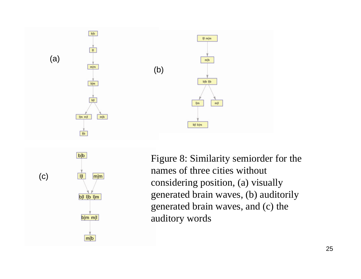



Figure 8: Similarity semiorder for the names of three cities without considering position, (a) visually generated brain waves, (b) auditorily generated brain waves, and (c) the auditory words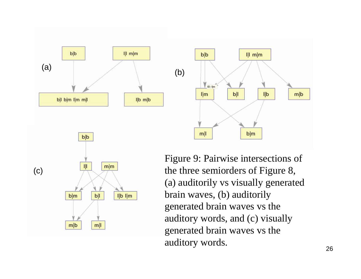



Figure 9: Pairwise intersections of the three semiorders of Figure 8, (a) auditorily vs visually generated brain waves, (b) auditorily generated brain waves vs the auditory words, and (c) visually generated brain waves vs the auditory words.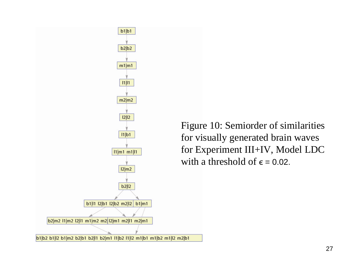

Figure 10: Semiorder of similarities for visually generated brain waves for Experiment III+IV, Model LDC with a threshold of  $\epsilon = 0.02$ .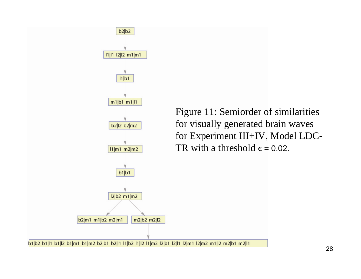